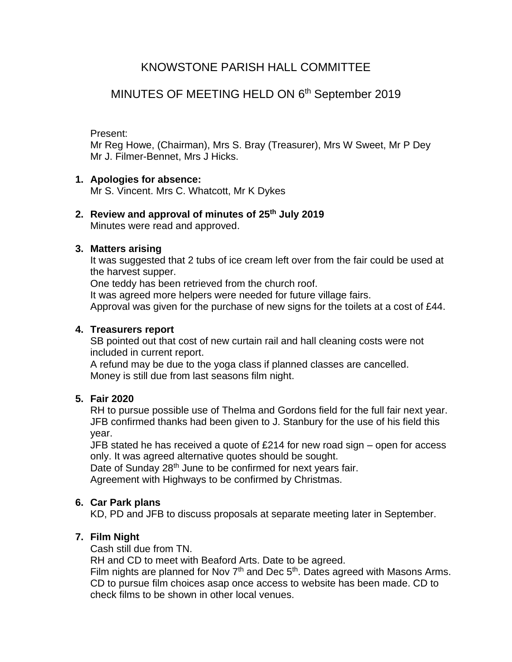# KNOWSTONE PARISH HALL COMMITTEE

# MINUTES OF MEETING HELD ON 6<sup>th</sup> September 2019

## Present:

Mr Reg Howe, (Chairman), Mrs S. Bray (Treasurer), Mrs W Sweet, Mr P Dey Mr J. Filmer-Bennet, Mrs J Hicks.

## **1. Apologies for absence:**

Mr S. Vincent. Mrs C. Whatcott, Mr K Dykes

# **2. Review and approval of minutes of 25th July 2019**

Minutes were read and approved.

## **3. Matters arising**

It was suggested that 2 tubs of ice cream left over from the fair could be used at the harvest supper.

One teddy has been retrieved from the church roof.

It was agreed more helpers were needed for future village fairs.

Approval was given for the purchase of new signs for the toilets at a cost of £44.

## **4. Treasurers report**

SB pointed out that cost of new curtain rail and hall cleaning costs were not included in current report.

A refund may be due to the yoga class if planned classes are cancelled. Money is still due from last seasons film night.

## **5. Fair 2020**

RH to pursue possible use of Thelma and Gordons field for the full fair next year. JFB confirmed thanks had been given to J. Stanbury for the use of his field this year.

JFB stated he has received a quote of £214 for new road sign – open for access only. It was agreed alternative quotes should be sought.

Date of Sunday 28<sup>th</sup> June to be confirmed for next years fair. Agreement with Highways to be confirmed by Christmas.

## **6. Car Park plans**

KD, PD and JFB to discuss proposals at separate meeting later in September.

## **7. Film Night**

Cash still due from TN.

RH and CD to meet with Beaford Arts. Date to be agreed.

Film nights are planned for Nov  $7<sup>th</sup>$  and Dec  $5<sup>th</sup>$ . Dates agreed with Masons Arms. CD to pursue film choices asap once access to website has been made. CD to check films to be shown in other local venues.